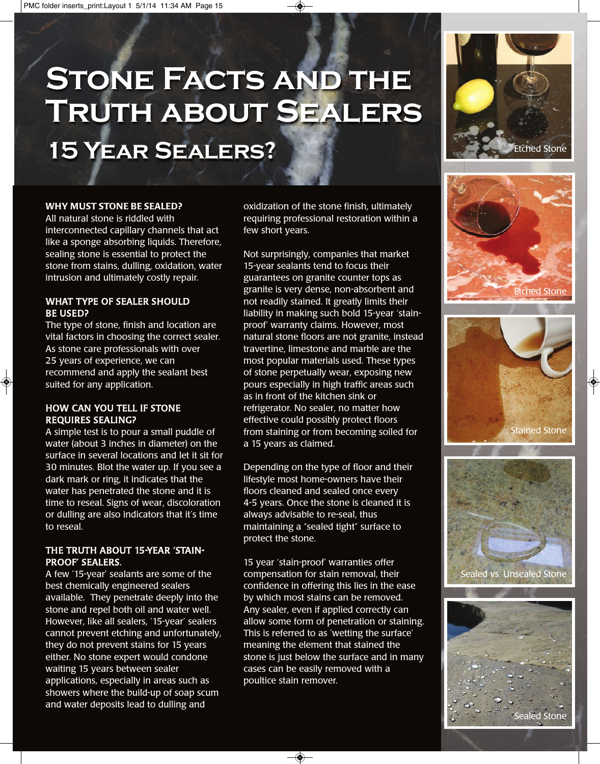# **Stone Facts and the Truth about Sealers**

**15 YEAR SEALERS? Example 20 AM SECOND Extend Stone** 

#### **WHY MUST STONE BE SEALED?**

All natural stone is riddled with interconnected capillary channels that act like a sponge absorbing liquids. Therefore, sealing stone is essential to protect the stone from stains, dulling, oxidation, water intrusion and ultimately costly repair.

#### WHAT TYPE OF SEALER SHOULD BE USED?

The type of stone, finish and location are vital factors in choosing the correct sealer. As stone care professionals with over 25 years of experience, we can recommend and apply the sealant best suited for any application.

#### HOW CAN YOU TELL IF STONE REQUIRES SEALING?

A simple test is to pour a small puddle of water (about 3 inches in diameter) on the surface in several locations and let it sit for 30 minutes. Blot the water up. If you see a dark mark or ring, it indicates that the water has penetrated the stone and it is time to reseal. Signs of wear, discoloration or dulling are also indicators that it's time to reseal.

#### THE TRUTH ABOUT 15-YEAR 'STAIN-PROOF' SEALERS.

A few '15-year' sealants are some of the best chemically engineered sealers available. They penetrate deeply into the stone and repel both oil and water well. However, like all sealers, '15-year' sealers cannot prevent etching and unfortunately, they do not prevent stains for 15 years either. No stone expert would condone waiting 15 years between sealer applications, especially in areas such as showers where the build-up of soap scum and water deposits lead to dulling and

oxidization of the stone finish, ultimately requiring professional restoration within a few short years.

Not surprisingly, companies that market 15-year sealants tend to focus their guarantees on granite counter tops as granite is very dense, non-absorbent and not readily stained. It greatly limits their liability in making such bold 15-year 'stainproof' warranty claims. However, most natural stone floors are not granite, instead travertine, limestone and marble are the most popular materials used. These types of stone perpetually wear, exposing new pours especially in high traffic areas such as in front of the kitchen sink or refrigerator. No sealer, no matter how effective could possibly protect floors from staining or from becoming soiled for a 15 years as claimed.

Depending on the type of floor and their lifestyle most home-owners have their floors cleaned and sealed once every 4-5 years. Once the stone is cleaned it is always advisable to re-seal, thus maintaining a "sealed tight" surface to protect the stone.

15 year 'stain-proof' warranties offer compensation for stain removal, their confidence in offering this lies in the ease by which most stains can be removed. Any sealer, even if applied correctly can allow some form of penetration or staining. This is referred to as 'wetting the surface' meaning the element that stained the stone is just below the surface and in many cases can be easily removed with a poultice stain remover.